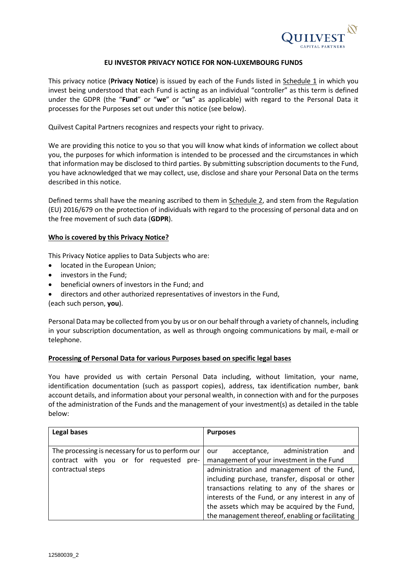

#### **EU INVESTOR PRIVACY NOTICE FOR NON-LUXEMBOURG FUNDS**

This privacy notice (**Privacy Notice**) is issued by each of the Funds listed in Schedule 1 in which you invest being understood that each Fund is acting as an individual "controller" as this term is defined under the GDPR (the "**Fund**" or "**we**" or "**us**" as applicable) with regard to the Personal Data it processes for the Purposes set out under this notice (see below).

Quilvest Capital Partners recognizes and respects your right to privacy.

We are providing this notice to you so that you will know what kinds of information we collect about you, the purposes for which information is intended to be processed and the circumstances in which that information may be disclosed to third parties. By submitting subscription documents to the Fund, you have acknowledged that we may collect, use, disclose and share your Personal Data on the terms described in this notice.

Defined terms shall have the meaning ascribed to them in Schedule 2, and stem from the Regulation (EU) 2016/679 on the protection of individuals with regard to the processing of personal data and on the free movement of such data (**GDPR**).

#### **Who is covered by this Privacy Notice?**

This Privacy Notice applies to Data Subjects who are:

- located in the European Union;
- investors in the Fund;
- beneficial owners of investors in the Fund; and
- directors and other authorized representatives of investors in the Fund,

(each such person, **you**).

Personal Data may be collected from you by us or on our behalf through a variety of channels, including in your subscription documentation, as well as through ongoing communications by mail, e-mail or telephone.

#### **Processing of Personal Data for various Purposes based on specific legal bases**

You have provided us with certain Personal Data including, without limitation, your name, identification documentation (such as passport copies), address, tax identification number, bank account details, and information about your personal wealth, in connection with and for the purposes of the administration of the Funds and the management of your investment(s) as detailed in the table below:

| <b>Legal bases</b>                                | <b>Purposes</b>                                  |
|---------------------------------------------------|--------------------------------------------------|
|                                                   |                                                  |
| The processing is necessary for us to perform our | administration<br>acceptance,<br>and<br>our      |
| contract with you or for requested pre-           | management of your investment in the Fund        |
| contractual steps                                 | administration and management of the Fund,       |
|                                                   | including purchase, transfer, disposal or other  |
|                                                   | transactions relating to any of the shares or    |
|                                                   | interests of the Fund, or any interest in any of |
|                                                   | the assets which may be acquired by the Fund,    |
|                                                   | the management thereof, enabling or facilitating |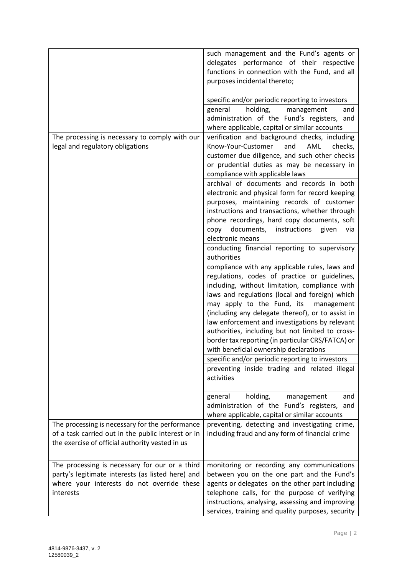|                                                                                                                                                                | such management and the Fund's agents or<br>delegates performance of their respective<br>functions in connection with the Fund, and all<br>purposes incidental thereto;                                                                                                                                                                                                                                                                                                                                                                                                   |
|----------------------------------------------------------------------------------------------------------------------------------------------------------------|---------------------------------------------------------------------------------------------------------------------------------------------------------------------------------------------------------------------------------------------------------------------------------------------------------------------------------------------------------------------------------------------------------------------------------------------------------------------------------------------------------------------------------------------------------------------------|
|                                                                                                                                                                | specific and/or periodic reporting to investors<br>general<br>holding,<br>management<br>and<br>administration of the Fund's registers, and<br>where applicable, capital or similar accounts                                                                                                                                                                                                                                                                                                                                                                               |
| The processing is necessary to comply with our<br>legal and regulatory obligations                                                                             | verification and background checks, including<br>Know-Your-Customer<br>AML<br>checks,<br>and<br>customer due diligence, and such other checks<br>or prudential duties as may be necessary in<br>compliance with applicable laws<br>archival of documents and records in both<br>electronic and physical form for record keeping                                                                                                                                                                                                                                           |
|                                                                                                                                                                | purposes, maintaining records of customer<br>instructions and transactions, whether through<br>phone recordings, hard copy documents, soft<br>documents,<br>instructions<br>copy<br>given<br>via<br>electronic means                                                                                                                                                                                                                                                                                                                                                      |
|                                                                                                                                                                | conducting financial reporting to supervisory<br>authorities<br>compliance with any applicable rules, laws and<br>regulations, codes of practice or guidelines,<br>including, without limitation, compliance with<br>laws and regulations (local and foreign) which<br>may apply to the Fund, its<br>management<br>(including any delegate thereof), or to assist in<br>law enforcement and investigations by relevant<br>authorities, including but not limited to cross-<br>border tax reporting (in particular CRS/FATCA) or<br>with beneficial ownership declarations |
|                                                                                                                                                                | specific and/or periodic reporting to investors<br>preventing inside trading and related illegal<br>activities                                                                                                                                                                                                                                                                                                                                                                                                                                                            |
|                                                                                                                                                                | holding,<br>management<br>general<br>and<br>administration of the Fund's registers, and<br>where applicable, capital or similar accounts                                                                                                                                                                                                                                                                                                                                                                                                                                  |
| The processing is necessary for the performance<br>of a task carried out in the public interest or in<br>the exercise of official authority vested in us       | preventing, detecting and investigating crime,<br>including fraud and any form of financial crime                                                                                                                                                                                                                                                                                                                                                                                                                                                                         |
| The processing is necessary for our or a third<br>party's legitimate interests (as listed here) and<br>where your interests do not override these<br>interests | monitoring or recording any communications<br>between you on the one part and the Fund's<br>agents or delegates on the other part including<br>telephone calls, for the purpose of verifying<br>instructions, analysing, assessing and improving<br>services, training and quality purposes, security                                                                                                                                                                                                                                                                     |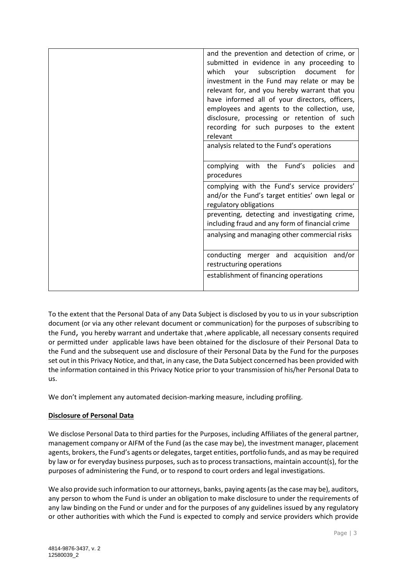| and the prevention and detection of crime, or<br>submitted in evidence in any proceeding to |
|---------------------------------------------------------------------------------------------|
| which<br>your subscription<br>document<br>for                                               |
| investment in the Fund may relate or may be                                                 |
| relevant for, and you hereby warrant that you                                               |
| have informed all of your directors, officers,                                              |
| employees and agents to the collection, use,                                                |
| disclosure, processing or retention of such                                                 |
| recording for such purposes to the extent<br>relevant                                       |
| analysis related to the Fund's operations                                                   |
|                                                                                             |
| complying with the Fund's<br>policies<br>and                                                |
| procedures                                                                                  |
| complying with the Fund's service providers'                                                |
| and/or the Fund's target entities' own legal or                                             |
| regulatory obligations                                                                      |
| preventing, detecting and investigating crime,                                              |
| including fraud and any form of financial crime                                             |
| analysing and managing other commercial risks                                               |
|                                                                                             |
| conducting merger and acquisition and/or                                                    |
| restructuring operations                                                                    |
| establishment of financing operations                                                       |
|                                                                                             |
|                                                                                             |

To the extent that the Personal Data of any Data Subject is disclosed by you to us in your subscription document (or via any other relevant document or communication) for the purposes of subscribing to the Fund, you hereby warrant and undertake that ,where applicable, all necessary consents required or permitted under applicable laws have been obtained for the disclosure of their Personal Data to the Fund and the subsequent use and disclosure of their Personal Data by the Fund for the purposes set out in this Privacy Notice, and that, in any case, the Data Subject concerned has been provided with the information contained in this Privacy Notice prior to your transmission of his/her Personal Data to us.

We don't implement any automated decision-marking measure, including profiling.

# **Disclosure of Personal Data**

We disclose Personal Data to third parties for the Purposes, including Affiliates of the general partner, management company or AIFM of the Fund (as the case may be), the investment manager, placement agents, brokers, the Fund's agents or delegates, target entities, portfolio funds, and as may be required by law or for everyday business purposes, such as to process transactions, maintain account(s), for the purposes of administering the Fund, or to respond to court orders and legal investigations.

We also provide such information to our attorneys, banks, paying agents (as the case may be), auditors, any person to whom the Fund is under an obligation to make disclosure to under the requirements of any law binding on the Fund or under and for the purposes of any guidelines issued by any regulatory or other authorities with which the Fund is expected to comply and service providers which provide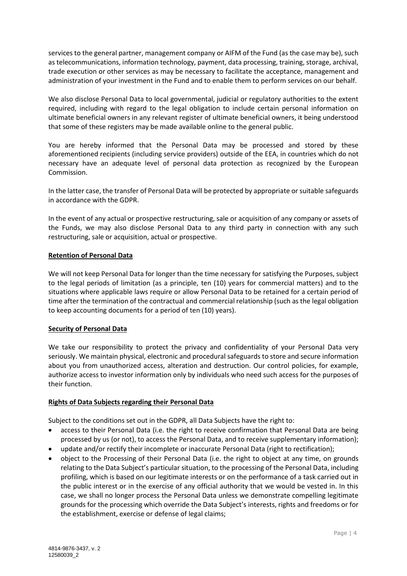services to the general partner, management company or AIFM of the Fund (as the case may be), such as telecommunications, information technology, payment, data processing, training, storage, archival, trade execution or other services as may be necessary to facilitate the acceptance, management and administration of your investment in the Fund and to enable them to perform services on our behalf.

We also disclose Personal Data to local governmental, judicial or regulatory authorities to the extent required, including with regard to the legal obligation to include certain personal information on ultimate beneficial owners in any relevant register of ultimate beneficial owners, it being understood that some of these registers may be made available online to the general public.

You are hereby informed that the Personal Data may be processed and stored by these aforementioned recipients (including service providers) outside of the EEA, in countries which do not necessary have an adequate level of personal data protection as recognized by the European Commission.

In the latter case, the transfer of Personal Data will be protected by appropriate or suitable safeguards in accordance with the GDPR.

In the event of any actual or prospective restructuring, sale or acquisition of any company or assets of the Funds, we may also disclose Personal Data to any third party in connection with any such restructuring, sale or acquisition, actual or prospective.

## **Retention of Personal Data**

We will not keep Personal Data for longer than the time necessary for satisfying the Purposes, subject to the legal periods of limitation (as a principle, ten (10) years for commercial matters) and to the situations where applicable laws require or allow Personal Data to be retained for a certain period of time after the termination of the contractual and commercial relationship (such as the legal obligation to keep accounting documents for a period of ten (10) years).

#### **Security of Personal Data**

We take our responsibility to protect the privacy and confidentiality of your Personal Data very seriously. We maintain physical, electronic and procedural safeguards to store and secure information about you from unauthorized access, alteration and destruction. Our control policies, for example, authorize access to investor information only by individuals who need such access for the purposes of their function.

#### **Rights of Data Subjects regarding their Personal Data**

Subject to the conditions set out in the GDPR, all Data Subjects have the right to:

- access to their Personal Data (i.e. the right to receive confirmation that Personal Data are being processed by us (or not), to access the Personal Data, and to receive supplementary information);
- update and/or rectify their incomplete or inaccurate Personal Data (right to rectification);
- object to the Processing of their Personal Data (i.e. the right to object at any time, on grounds relating to the Data Subject's particular situation, to the processing of the Personal Data, including profiling, which is based on our legitimate interests or on the performance of a task carried out in the public interest or in the exercise of any official authority that we would be vested in. In this case, we shall no longer process the Personal Data unless we demonstrate compelling legitimate grounds for the processing which override the Data Subject's interests, rights and freedoms or for the establishment, exercise or defense of legal claims;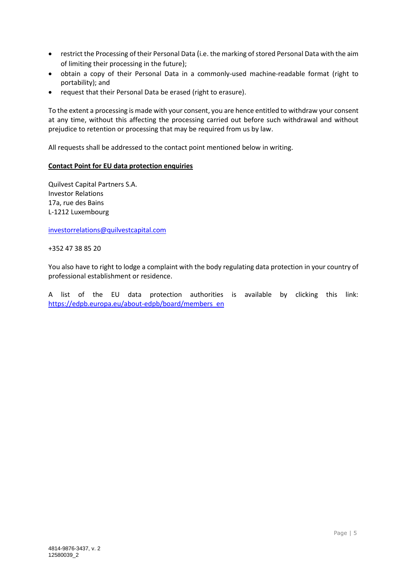- restrict the Processing of their Personal Data (i.e. the marking of stored Personal Data with the aim of limiting their processing in the future);
- obtain a copy of their Personal Data in a commonly-used machine-readable format (right to portability); and
- request that their Personal Data be erased (right to erasure).

To the extent a processing is made with your consent, you are hence entitled to withdraw your consent at any time, without this affecting the processing carried out before such withdrawal and without prejudice to retention or processing that may be required from us by law.

All requests shall be addressed to the contact point mentioned below in writing.

## **Contact Point for EU data protection enquiries**

Quilvest Capital Partners S.A. Investor Relations 17a, rue des Bains L-1212 Luxembourg

[investorrelations@quilvestcapital.com](mailto:investorrelations@quilvestcapital.com)

+352 47 38 85 20

You also have to right to lodge a complaint with the body regulating data protection in your country of professional establishment or residence.

A list of the EU data protection authorities is available by clicking this link: [https://edpb.europa.eu/about-edpb/board/members\\_en](https://edpb.europa.eu/about-edpb/board/members_en)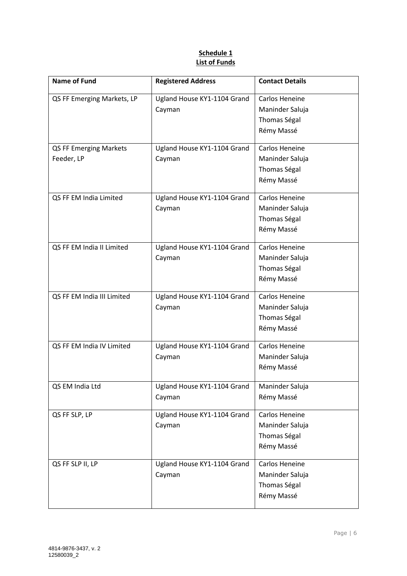# **Schedule 1 List of Funds**

| <b>Name of Fund</b>        | <b>Registered Address</b>   | <b>Contact Details</b> |
|----------------------------|-----------------------------|------------------------|
| QS FF Emerging Markets, LP | Ugland House KY1-1104 Grand | Carlos Heneine         |
|                            | Cayman                      | Maninder Saluja        |
|                            |                             | Thomas Ségal           |
|                            |                             | Rémy Massé             |
| QS FF Emerging Markets     | Ugland House KY1-1104 Grand | Carlos Heneine         |
| Feeder, LP                 | Cayman                      | Maninder Saluja        |
|                            |                             | Thomas Ségal           |
|                            |                             | Rémy Massé             |
| QS FF EM India Limited     | Ugland House KY1-1104 Grand | Carlos Heneine         |
|                            | Cayman                      | Maninder Saluja        |
|                            |                             | Thomas Ségal           |
|                            |                             | Rémy Massé             |
| QS FF EM India II Limited  | Ugland House KY1-1104 Grand | Carlos Heneine         |
|                            | Cayman                      | Maninder Saluja        |
|                            |                             | <b>Thomas Ségal</b>    |
|                            |                             | Rémy Massé             |
| QS FF EM India III Limited | Ugland House KY1-1104 Grand | Carlos Heneine         |
|                            | Cayman                      | Maninder Saluja        |
|                            |                             | Thomas Ségal           |
|                            |                             | Rémy Massé             |
| QS FF EM India IV Limited  | Ugland House KY1-1104 Grand | Carlos Heneine         |
|                            | Cayman                      | Maninder Saluja        |
|                            |                             | Rémy Massé             |
| QS EM India Ltd            | Ugland House KY1-1104 Grand | Maninder Saluja        |
|                            | Cayman                      | Rémy Massé             |
| QS FF SLP, LP              | Ugland House KY1-1104 Grand | Carlos Heneine         |
|                            | Cayman                      | Maninder Saluja        |
|                            |                             | Thomas Ségal           |
|                            |                             | Rémy Massé             |
| QS FF SLP II, LP           | Ugland House KY1-1104 Grand | Carlos Heneine         |
|                            | Cayman                      | Maninder Saluja        |
|                            |                             | Thomas Ségal           |
|                            |                             | Rémy Massé             |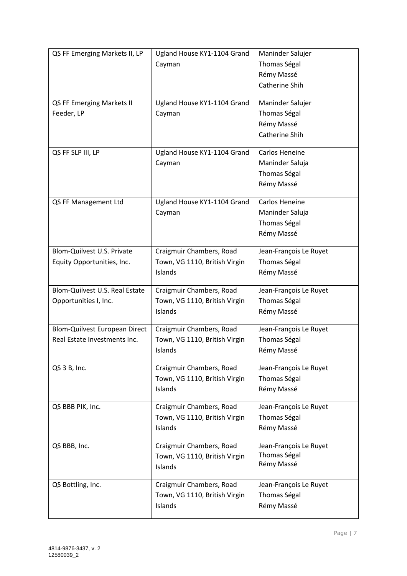| QS FF Emerging Markets II, LP  | Ugland House KY1-1104 Grand   | Maninder Salujer             |
|--------------------------------|-------------------------------|------------------------------|
|                                | Cayman                        | Thomas Ségal                 |
|                                |                               | Rémy Massé                   |
|                                |                               | Catherine Shih               |
|                                |                               |                              |
| QS FF Emerging Markets II      | Ugland House KY1-1104 Grand   | Maninder Salujer             |
| Feeder, LP                     | Cayman                        | Thomas Ségal                 |
|                                |                               | Rémy Massé<br>Catherine Shih |
|                                |                               |                              |
| QS FF SLP III, LP              | Ugland House KY1-1104 Grand   | Carlos Heneine               |
|                                | Cayman                        | Maninder Saluja              |
|                                |                               | Thomas Ségal                 |
|                                |                               | Rémy Massé                   |
| QS FF Management Ltd           | Ugland House KY1-1104 Grand   | Carlos Heneine               |
|                                | Cayman                        | Maninder Saluja              |
|                                |                               | Thomas Ségal                 |
|                                |                               | Rémy Massé                   |
|                                |                               |                              |
| Blom-Quilvest U.S. Private     | Craigmuir Chambers, Road      | Jean-François Le Ruyet       |
| Equity Opportunities, Inc.     | Town, VG 1110, British Virgin | Thomas Ségal                 |
|                                | Islands                       | Rémy Massé                   |
| Blom-Quilvest U.S. Real Estate | Craigmuir Chambers, Road      | Jean-François Le Ruyet       |
| Opportunities I, Inc.          | Town, VG 1110, British Virgin | Thomas Ségal                 |
|                                | Islands                       | Rémy Massé                   |
| Blom-Quilvest European Direct  | Craigmuir Chambers, Road      | Jean-François Le Ruyet       |
| Real Estate Investments Inc.   | Town, VG 1110, British Virgin | Thomas Ségal                 |
|                                | Islands                       | Rémy Massé                   |
|                                |                               |                              |
| QS 3 B, Inc.                   | Craigmuir Chambers, Road      | Jean-François Le Ruyet       |
|                                | Town, VG 1110, British Virgin | Thomas Ségal                 |
|                                | Islands                       | Rémy Massé                   |
| QS BBB PIK, Inc.               | Craigmuir Chambers, Road      | Jean-François Le Ruyet       |
|                                | Town, VG 1110, British Virgin | Thomas Ségal                 |
|                                | Islands                       | Rémy Massé                   |
| QS BBB, Inc.                   | Craigmuir Chambers, Road      | Jean-François Le Ruyet       |
|                                | Town, VG 1110, British Virgin | Thomas Ségal                 |
|                                | Islands                       | Rémy Massé                   |
|                                |                               |                              |
| QS Bottling, Inc.              | Craigmuir Chambers, Road      | Jean-François Le Ruyet       |
|                                | Town, VG 1110, British Virgin | Thomas Ségal                 |
|                                | Islands                       | Rémy Massé                   |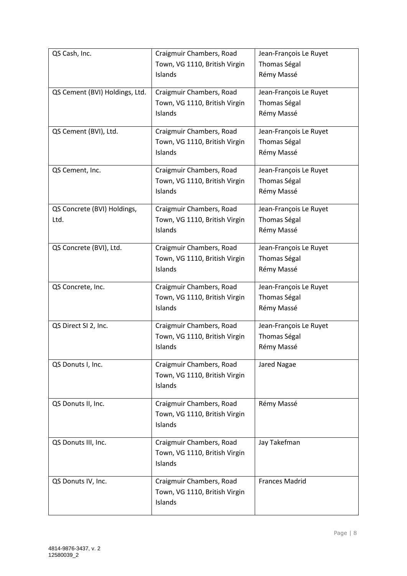| QS Cash, Inc.                  | Craigmuir Chambers, Road      | Jean-François Le Ruyet |
|--------------------------------|-------------------------------|------------------------|
|                                | Town, VG 1110, British Virgin | Thomas Ségal           |
|                                | Islands                       | Rémy Massé             |
| QS Cement (BVI) Holdings, Ltd. | Craigmuir Chambers, Road      | Jean-François Le Ruyet |
|                                | Town, VG 1110, British Virgin | Thomas Ségal           |
|                                | Islands                       | Rémy Massé             |
| QS Cement (BVI), Ltd.          | Craigmuir Chambers, Road      | Jean-François Le Ruyet |
|                                | Town, VG 1110, British Virgin | Thomas Ségal           |
|                                | Islands                       | Rémy Massé             |
| QS Cement, Inc.                | Craigmuir Chambers, Road      | Jean-François Le Ruyet |
|                                | Town, VG 1110, British Virgin | Thomas Ségal           |
|                                | Islands                       | Rémy Massé             |
| QS Concrete (BVI) Holdings,    | Craigmuir Chambers, Road      | Jean-François Le Ruyet |
| Ltd.                           | Town, VG 1110, British Virgin | Thomas Ségal           |
|                                | Islands                       | Rémy Massé             |
| QS Concrete (BVI), Ltd.        | Craigmuir Chambers, Road      | Jean-François Le Ruyet |
|                                | Town, VG 1110, British Virgin | Thomas Ségal           |
|                                | Islands                       | Rémy Massé             |
| QS Concrete, Inc.              | Craigmuir Chambers, Road      | Jean-François Le Ruyet |
|                                | Town, VG 1110, British Virgin | Thomas Ségal           |
|                                | Islands                       | Rémy Massé             |
| QS Direct SI 2, Inc.           | Craigmuir Chambers, Road      | Jean-François Le Ruyet |
|                                | Town, VG 1110, British Virgin | Thomas Ségal           |
|                                | Islands                       | Rémy Massé             |
| QS Donuts I, Inc.              | Craigmuir Chambers, Road      | Jared Nagae            |
|                                | Town, VG 1110, British Virgin |                        |
|                                | Islands                       |                        |
| QS Donuts II, Inc.             | Craigmuir Chambers, Road      | Rémy Massé             |
|                                | Town, VG 1110, British Virgin |                        |
|                                | Islands                       |                        |
| QS Donuts III, Inc.            | Craigmuir Chambers, Road      | Jay Takefman           |
|                                | Town, VG 1110, British Virgin |                        |
|                                | Islands                       |                        |
| QS Donuts IV, Inc.             | Craigmuir Chambers, Road      | <b>Frances Madrid</b>  |
|                                | Town, VG 1110, British Virgin |                        |
|                                | Islands                       |                        |
|                                |                               |                        |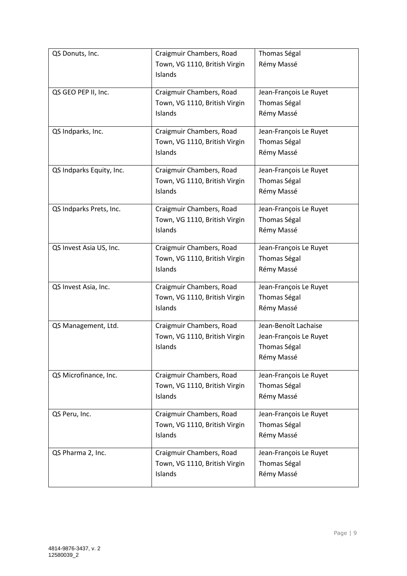| QS Donuts, Inc.          | Craigmuir Chambers, Road      | Thomas Ségal           |
|--------------------------|-------------------------------|------------------------|
|                          | Town, VG 1110, British Virgin | Rémy Massé             |
|                          | Islands                       |                        |
| QS GEO PEP II, Inc.      | Craigmuir Chambers, Road      | Jean-François Le Ruyet |
|                          | Town, VG 1110, British Virgin | Thomas Ségal           |
|                          | Islands                       | Rémy Massé             |
| QS Indparks, Inc.        | Craigmuir Chambers, Road      | Jean-François Le Ruyet |
|                          | Town, VG 1110, British Virgin | Thomas Ségal           |
|                          | Islands                       | Rémy Massé             |
| QS Indparks Equity, Inc. | Craigmuir Chambers, Road      | Jean-François Le Ruyet |
|                          | Town, VG 1110, British Virgin | Thomas Ségal           |
|                          | Islands                       | Rémy Massé             |
| QS Indparks Prets, Inc.  | Craigmuir Chambers, Road      | Jean-François Le Ruyet |
|                          | Town, VG 1110, British Virgin | Thomas Ségal           |
|                          | Islands                       | Rémy Massé             |
| QS Invest Asia US, Inc.  | Craigmuir Chambers, Road      | Jean-François Le Ruyet |
|                          | Town, VG 1110, British Virgin | Thomas Ségal           |
|                          | Islands                       | Rémy Massé             |
| QS Invest Asia, Inc.     | Craigmuir Chambers, Road      | Jean-François Le Ruyet |
|                          | Town, VG 1110, British Virgin | Thomas Ségal           |
|                          | Islands                       | Rémy Massé             |
| QS Management, Ltd.      | Craigmuir Chambers, Road      | Jean-Benoît Lachaise   |
|                          | Town, VG 1110, British Virgin | Jean-François Le Ruyet |
|                          | Islands                       | Thomas Ségal           |
|                          |                               | Rémy Massé             |
| QS Microfinance, Inc.    | Craigmuir Chambers, Road      | Jean-François Le Ruyet |
|                          | Town, VG 1110, British Virgin | Thomas Ségal           |
|                          | Islands                       | Rémy Massé             |
| QS Peru, Inc.            | Craigmuir Chambers, Road      | Jean-François Le Ruyet |
|                          | Town, VG 1110, British Virgin | Thomas Ségal           |
|                          | Islands                       | Rémy Massé             |
| QS Pharma 2, Inc.        | Craigmuir Chambers, Road      | Jean-François Le Ruyet |
|                          | Town, VG 1110, British Virgin | Thomas Ségal           |
|                          | Islands                       | Rémy Massé             |
|                          |                               |                        |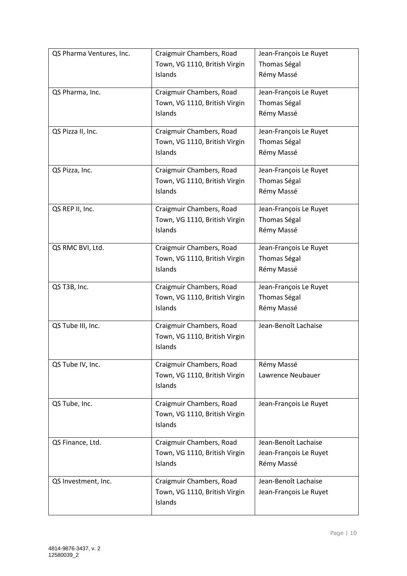| QS Pharma Ventures, Inc. | Craigmuir Chambers, Road      | Jean-François Le Ruyet |
|--------------------------|-------------------------------|------------------------|
|                          | Town, VG 1110, British Virgin | Thomas Ségal           |
|                          | Islands                       | Rémy Massé             |
| QS Pharma, Inc.          | Craigmuir Chambers, Road      | Jean-François Le Ruyet |
|                          | Town, VG 1110, British Virgin | Thomas Ségal           |
|                          | Islands                       | Rémy Massé             |
| QS Pizza II, Inc.        | Craigmuir Chambers, Road      | Jean-François Le Ruyet |
|                          | Town, VG 1110, British Virgin | Thomas Ségal           |
|                          | Islands                       | Rémy Massé             |
| QS Pizza, Inc.           | Craigmuir Chambers, Road      | Jean-François Le Ruyet |
|                          | Town, VG 1110, British Virgin | Thomas Ségal           |
|                          | Islands                       | Rémy Massé             |
| QS REP II, Inc.          | Craigmuir Chambers, Road      | Jean-François Le Ruyet |
|                          | Town, VG 1110, British Virgin | Thomas Ségal           |
|                          | Islands                       | Rémy Massé             |
| QS RMC BVI, Ltd.         | Craigmuir Chambers, Road      | Jean-François Le Ruyet |
|                          | Town, VG 1110, British Virgin | Thomas Ségal           |
|                          | Islands                       | Rémy Massé             |
| QS T3B, Inc.             | Craigmuir Chambers, Road      | Jean-François Le Ruyet |
|                          | Town, VG 1110, British Virgin | Thomas Ségal           |
|                          | Islands                       | Rémy Massé             |
| QS Tube III, Inc.        | Craigmuir Chambers, Road      | Jean-Benoît Lachaise   |
|                          | Town, VG 1110, British Virgin |                        |
|                          | Islands                       |                        |
| QS Tube IV, Inc.         | Craigmuir Chambers, Road      | Rémy Massé             |
|                          | Town, VG 1110, British Virgin | Lawrence Neubauer      |
|                          | Islands                       |                        |
| QS Tube, Inc.            | Craigmuir Chambers, Road      | Jean-François Le Ruyet |
|                          | Town, VG 1110, British Virgin |                        |
|                          | Islands                       |                        |
| QS Finance, Ltd.         | Craigmuir Chambers, Road      | Jean-Benoît Lachaise   |
|                          | Town, VG 1110, British Virgin | Jean-François Le Ruyet |
|                          | Islands                       | Rémy Massé             |
| QS Investment, Inc.      | Craigmuir Chambers, Road      | Jean-Benoît Lachaise   |
|                          | Town, VG 1110, British Virgin | Jean-François Le Ruyet |
|                          | Islands                       |                        |
|                          |                               |                        |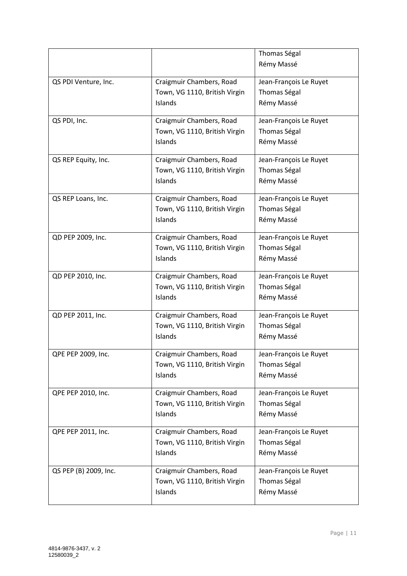|                       |                               | Thomas Ségal           |
|-----------------------|-------------------------------|------------------------|
|                       |                               | Rémy Massé             |
|                       |                               |                        |
| QS PDI Venture, Inc.  | Craigmuir Chambers, Road      | Jean-François Le Ruyet |
|                       | Town, VG 1110, British Virgin | Thomas Ségal           |
|                       | Islands                       | Rémy Massé             |
| QS PDI, Inc.          | Craigmuir Chambers, Road      | Jean-François Le Ruyet |
|                       | Town, VG 1110, British Virgin | Thomas Ségal           |
|                       | Islands                       | Rémy Massé             |
|                       |                               |                        |
| QS REP Equity, Inc.   | Craigmuir Chambers, Road      | Jean-François Le Ruyet |
|                       | Town, VG 1110, British Virgin | Thomas Ségal           |
|                       | Islands                       | Rémy Massé             |
| QS REP Loans, Inc.    | Craigmuir Chambers, Road      | Jean-François Le Ruyet |
|                       | Town, VG 1110, British Virgin | Thomas Ségal           |
|                       | Islands                       |                        |
|                       |                               | Rémy Massé             |
| QD PEP 2009, Inc.     | Craigmuir Chambers, Road      | Jean-François Le Ruyet |
|                       | Town, VG 1110, British Virgin | Thomas Ségal           |
|                       | Islands                       | Rémy Massé             |
|                       |                               |                        |
| QD PEP 2010, Inc.     | Craigmuir Chambers, Road      | Jean-François Le Ruyet |
|                       | Town, VG 1110, British Virgin | Thomas Ségal           |
|                       | Islands                       | Rémy Massé             |
| QD PEP 2011, Inc.     | Craigmuir Chambers, Road      | Jean-François Le Ruyet |
|                       | Town, VG 1110, British Virgin | Thomas Ségal           |
|                       | Islands                       | Rémy Massé             |
|                       |                               |                        |
| QPE PEP 2009, Inc.    | Craigmuir Chambers, Road      | Jean-François Le Ruyet |
|                       | Town, VG 1110, British Virgin | Thomas Ségal           |
|                       | Islands                       | Rémy Massé             |
| QPE PEP 2010, Inc.    | Craigmuir Chambers, Road      | Jean-François Le Ruyet |
|                       | Town, VG 1110, British Virgin | Thomas Ségal           |
|                       | Islands                       | Rémy Massé             |
|                       |                               |                        |
| QPE PEP 2011, Inc.    | Craigmuir Chambers, Road      | Jean-François Le Ruyet |
|                       | Town, VG 1110, British Virgin | Thomas Ségal           |
|                       | Islands                       | Rémy Massé             |
| QS PEP (B) 2009, Inc. | Craigmuir Chambers, Road      | Jean-François Le Ruyet |
|                       | Town, VG 1110, British Virgin | Thomas Ségal           |
|                       | Islands                       |                        |
|                       |                               | Rémy Massé             |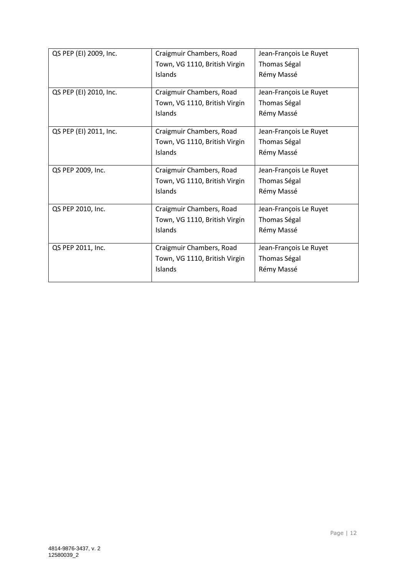| QS PEP (EI) 2009, Inc. | Craigmuir Chambers, Road      | Jean-François Le Ruyet |
|------------------------|-------------------------------|------------------------|
|                        | Town, VG 1110, British Virgin | Thomas Ségal           |
|                        | Islands                       | Rémy Massé             |
|                        |                               |                        |
| QS PEP (EI) 2010, Inc. | Craigmuir Chambers, Road      | Jean-François Le Ruyet |
|                        | Town, VG 1110, British Virgin | Thomas Ségal           |
|                        | Islands                       | Rémy Massé             |
|                        |                               |                        |
| QS PEP (EI) 2011, Inc. | Craigmuir Chambers, Road      | Jean-François Le Ruyet |
|                        | Town, VG 1110, British Virgin | Thomas Ségal           |
|                        | Islands                       | Rémy Massé             |
|                        |                               |                        |
| QS PEP 2009, Inc.      | Craigmuir Chambers, Road      | Jean-François Le Ruyet |
|                        | Town, VG 1110, British Virgin | Thomas Ségal           |
|                        | Islands                       | Rémy Massé             |
|                        |                               |                        |
| QS PEP 2010, Inc.      | Craigmuir Chambers, Road      | Jean-François Le Ruyet |
|                        | Town, VG 1110, British Virgin | Thomas Ségal           |
|                        | Islands                       | Rémy Massé             |
|                        |                               |                        |
| QS PEP 2011, Inc.      | Craigmuir Chambers, Road      | Jean-François Le Ruyet |
|                        | Town, VG 1110, British Virgin | Thomas Ségal           |
|                        | Islands                       | Rémy Massé             |
|                        |                               |                        |